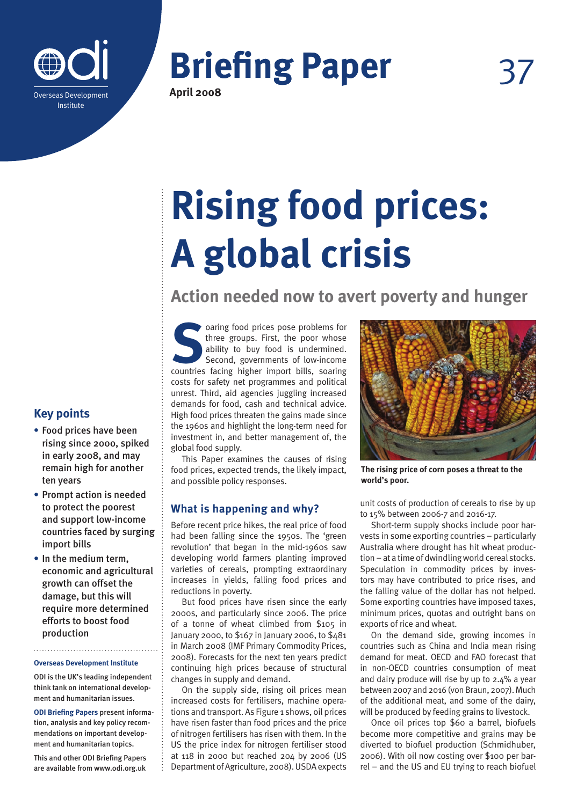

# **Briefing Paper**

**April 2008**

# **Rising food prices: A global crisis**

**Action needed now to avert poverty and hunger**

**Soaring food prices pose problems for three groups.** First, the poor whose ability to buy food is undermined. Second, governments of low-income countries facing higher import bills, soaring three groups. First, the poor whose ability to buy food is undermined. Second, governments of low-income costs for safety net programmes and political unrest. Third, aid agencies juggling increased demands for food, cash and technical advice. High food prices threaten the gains made since the 1960s and highlight the long-term need for investment in, and better management of, the global food supply.

This Paper examines the causes of rising food prices, expected trends, the likely impact, and possible policy responses.

# **What is happening and why?**

Before recent price hikes, the real price of food had been falling since the 1950s. The 'green revolution' that began in the mid-1960s saw developing world farmers planting improved varieties of cereals, prompting extraordinary increases in yields, falling food prices and reductions in poverty.

But food prices have risen since the early 2000s, and particularly since 2006. The price of a tonne of wheat climbed from \$105 in January 2000, to \$167 in January 2006, to \$481 in March 2008 (IMF Primary Commodity Prices, 2008). Forecasts for the next ten years predict continuing high prices because of structural changes in supply and demand.

On the supply side, rising oil prices mean increased costs for fertilisers, machine operations and transport. As Figure 1 shows, oil prices have risen faster than food prices and the price of nitrogen fertilisers has risen with them. In the US the price index for nitrogen fertiliser stood at 118 in 2000 but reached 204 by 2006 (US Department of Agriculture, 2008). USDA expects



**The rising price of corn poses a threat to the world's poor.**

unit costs of production of cereals to rise by up to 15% between 2006-7 and 2016-17.

Short-term supply shocks include poor harvests in some exporting countries – particularly Australia where drought has hit wheat production – at a time of dwindling world cereal stocks. Speculation in commodity prices by investors may have contributed to price rises, and the falling value of the dollar has not helped. Some exporting countries have imposed taxes, minimum prices, quotas and outright bans on exports of rice and wheat.

On the demand side, growing incomes in countries such as China and India mean rising demand for meat. OECD and FAO forecast that in non-OECD countries consumption of meat and dairy produce will rise by up to 2.4% a year between 2007 and 2016 (von Braun, 2007). Much of the additional meat, and some of the dairy, will be produced by feeding grains to livestock.

Once oil prices top \$60 a barrel, biofuels become more competitive and grains may be diverted to biofuel production (Schmidhuber, 2006). With oil now costing over \$100 per barrel – and the US and EU trying to reach biofuel

# **Key points**

- **•** Food prices have been rising since 2000, spiked in early 2008, and may remain high for another ten years
- **•** Prompt action is needed to protect the poorest and support low-income countries faced by surging import bills
- **•** In the medium term, economic and agricultural growth can offset the damage, but this will require more determined efforts to boost food production

#### **Overseas Development Institute**

ODI is the UK's leading independent think tank on international development and humanitarian issues.

**ODI Briefing Papers** present information, analysis and key policy recommendations on important development and humanitarian topics.

This and other ODI Briefing Papers are available from www.odi.org.uk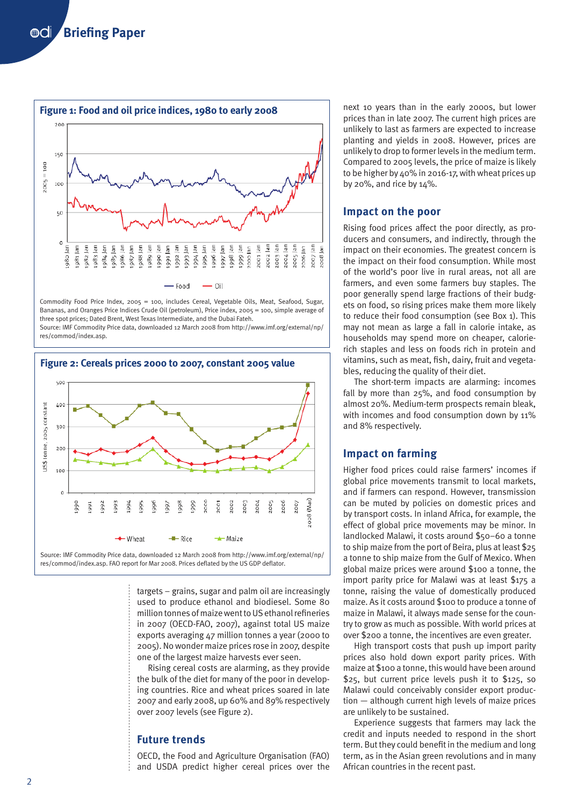

Commodity Food Price Index, 2005 = 100, includes Cereal, Vegetable Oils, Meat, Seafood, Sugar, Bananas, and Oranges Price Indices Crude Oil (petroleum), Price index, 2005 = 100, simple average of three spot prices; Dated Brent, West Texas Intermediate, and the Dubai Fateh. Source: IMF Commodity Price data, downloaded 12 March 2008 from http://www.imf.org/external/np/ res/commod/index.asp.



targets – grains, sugar and palm oil are increasingly used to produce ethanol and biodiesel. Some 80 million tonnes of maize went to US ethanol refineries in 2007 (OECD-FAO, 2007), against total US maize exports averaging 47 million tonnes a year (2000 to 2005). No wonder maize prices rose in 2007, despite one of the largest maize harvests ever seen.

Rising cereal costs are alarming, as they provide the bulk of the diet for many of the poor in developing countries. Rice and wheat prices soared in late 2007 and early 2008, up 60% and 89% respectively over 2007 levels (see Figure 2).

## **Future trends**

OECD, the Food and Agriculture Organisation (FAO) and USDA predict higher cereal prices over the

next 10 years than in the early 2000s, but lower prices than in late 2007. The current high prices are unlikely to last as farmers are expected to increase planting and yields in 2008. However, prices are unlikely to drop to former levels in the medium term. Compared to 2005 levels, the price of maize is likely to be higher by 40% in 2016-17, with wheat prices up by 20%, and rice by 14%.

## **Impact on the poor**

Rising food prices affect the poor directly, as producers and consumers, and indirectly, through the impact on their economies. The greatest concern is the impact on their food consumption. While most of the world's poor live in rural areas, not all are farmers, and even some farmers buy staples. The poor generally spend large fractions of their budgets on food, so rising prices make them more likely to reduce their food consumption (see Box 1). This may not mean as large a fall in calorie intake, as households may spend more on cheaper, calorierich staples and less on foods rich in protein and vitamins, such as meat, fish, dairy, fruit and vegetables, reducing the quality of their diet.

The short-term impacts are alarming: incomes fall by more than 25%, and food consumption by almost 20%. Medium-term prospects remain bleak, with incomes and food consumption down by 11% and 8% respectively.

# **Impact on farming**

Higher food prices could raise farmers' incomes if global price movements transmit to local markets, and if farmers can respond. However, transmission can be muted by policies on domestic prices and by transport costs. In inland Africa, for example, the effect of global price movements may be minor. In landlocked Malawi, it costs around \$50–60 a tonne to ship maize from the port of Beira, plus at least \$25 a tonne to ship maize from the Gulf of Mexico. When global maize prices were around \$100 a tonne, the import parity price for Malawi was at least \$175 a tonne, raising the value of domestically produced maize. As it costs around \$100 to produce a tonne of maize in Malawi, it always made sense for the country to grow as much as possible. With world prices at over \$200 a tonne, the incentives are even greater.

High transport costs that push up import parity prices also hold down export parity prices. With maize at \$100 a tonne, this would have been around \$25, but current price levels push it to \$125, so Malawi could conceivably consider export production — although current high levels of maize prices are unlikely to be sustained.

Experience suggests that farmers may lack the credit and inputs needed to respond in the short term. But they could benefit in the medium and long term, as in the Asian green revolutions and in many African countries in the recent past.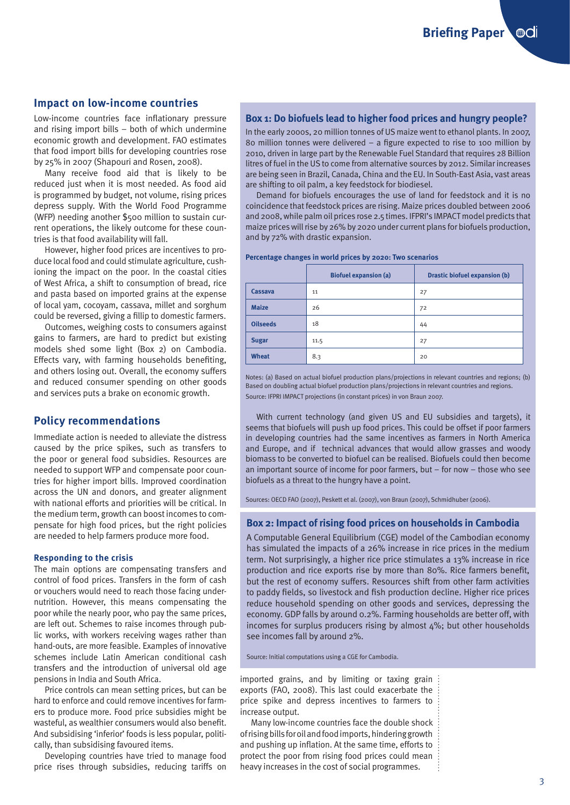**Briefing Paper** . ©al

# **Impact on low-income countries**

Low-income countries face inflationary pressure and rising import bills – both of which undermine economic growth and development. FAO estimates that food import bills for developing countries rose by 25% in 2007 (Shapouri and Rosen, 2008).

Many receive food aid that is likely to be reduced just when it is most needed. As food aid is programmed by budget, not volume, rising prices depress supply. With the World Food Programme (WFP) needing another \$500 million to sustain current operations, the likely outcome for these countries is that food availability will fall.

However, higher food prices are incentives to produce local food and could stimulate agriculture, cushioning the impact on the poor. In the coastal cities of West Africa, a shift to consumption of bread, rice and pasta based on imported grains at the expense of local yam, cocoyam, cassava, millet and sorghum could be reversed, giving a fillip to domestic farmers.

Outcomes, weighing costs to consumers against gains to farmers, are hard to predict but existing models shed some light (Box 2) on Cambodia. Effects vary, with farming households benefiting, and others losing out. Overall, the economy suffers and reduced consumer spending on other goods and services puts a brake on economic growth.

## **Policy recommendations**

Immediate action is needed to alleviate the distress caused by the price spikes, such as transfers to the poor or general food subsidies. Resources are needed to support WFP and compensate poor countries for higher import bills. Improved coordination across the UN and donors, and greater alignment with national efforts and priorities will be critical. In the medium term, growth can boost incomes to compensate for high food prices, but the right policies are needed to help farmers produce more food.

#### **Responding to the crisis**

The main options are compensating transfers and control of food prices. Transfers in the form of cash or vouchers would need to reach those facing undernutrition. However, this means compensating the poor while the nearly poor, who pay the same prices, are left out. Schemes to raise incomes through public works, with workers receiving wages rather than hand-outs, are more feasible. Examples of innovative schemes include Latin American conditional cash transfers and the introduction of universal old age pensions in India and South Africa.

Price controls can mean setting prices, but can be hard to enforce and could remove incentives for farmers to produce more. Food price subsidies might be wasteful, as wealthier consumers would also benefit. And subsidising 'inferior' foods is less popular, politically, than subsidising favoured items.

Developing countries have tried to manage food price rises through subsidies, reducing tariffs on

## **Box 1: Do biofuels lead to higher food prices and hungry people?**

In the early 2000s, 20 million tonnes of US maize went to ethanol plants. In 2007, 80 million tonnes were delivered – a figure expected to rise to 100 million by 2010, driven in large part by the Renewable Fuel Standard that requires 28 Billion litres of fuel in the US to come from alternative sources by 2012. Similar increases are being seen in Brazil, Canada, China and the EU. In South-East Asia, vast areas are shifting to oil palm, a key feedstock for biodiesel.

Demand for biofuels encourages the use of land for feedstock and it is no coincidence that feedstock prices are rising. Maize prices doubled between 2006 and 2008, while palm oil prices rose 2.5 times. IFPRI's IMPACT model predicts that maize prices will rise by 26% by 2020 under current plans for biofuels production, and by 72% with drastic expansion.

#### **Percentage changes in world prices by 2020: Two scenarios**

|                 | <b>Biofuel expansion (a)</b> | <b>Drastic biofuel expansion (b)</b> |
|-----------------|------------------------------|--------------------------------------|
| Cassava         | 11                           | 27                                   |
| <b>Maize</b>    | 26                           | 72                                   |
| <b>Oilseeds</b> | 18                           | 44                                   |
| <b>Sugar</b>    | 11.5                         | 27                                   |
| <b>Wheat</b>    | 8.3                          | 20                                   |

Notes: (a) Based on actual biofuel production plans/projections in relevant countries and regions; (b) Based on doubling actual biofuel production plans/projections in relevant countries and regions. Source: IFPRI IMPACT projections (in constant prices) in von Braun 2007.

With current technology (and given US and EU subsidies and targets), it seems that biofuels will push up food prices. This could be offset if poor farmers in developing countries had the same incentives as farmers in North America and Europe, and if technical advances that would allow grasses and woody biomass to be converted to biofuel can be realised. Biofuels could then become an important source of income for poor farmers, but – for now – those who see biofuels as a threat to the hungry have a point.

Sources: OECD FAO (2007), Peskett et al. (2007), von Braun (2007), Schmidhuber (2006).

#### **Box 2: Impact of rising food prices on households in Cambodia**

A Computable General Equilibrium (CGE) model of the Cambodian economy has simulated the impacts of a 26% increase in rice prices in the medium term. Not surprisingly, a higher rice price stimulates a 13% increase in rice production and rice exports rise by more than 80%. Rice farmers benefit, but the rest of economy suffers. Resources shift from other farm activities to paddy fields, so livestock and fish production decline. Higher rice prices reduce household spending on other goods and services, depressing the economy. GDP falls by around 0.2%. Farming households are better off, with incomes for surplus producers rising by almost  $4\%$ ; but other households see incomes fall by around 2%.

Source: Initial computations using a CGE for Cambodia.

imported grains, and by limiting or taxing grain exports (FAO, 2008). This last could exacerbate the price spike and depress incentives to farmers to increase output.

Many low-income countries face the double shock of rising bills for oil and food imports, hindering growth and pushing up inflation. At the same time, efforts to protect the poor from rising food prices could mean heavy increases in the cost of social programmes.